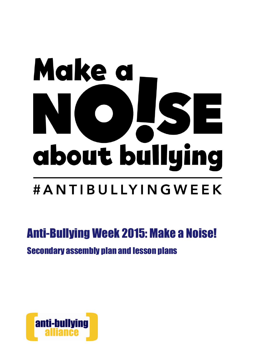# Make a about bullying #ANTIBULLYINGWEEK

# Anti-Bullying Week 2015: Make a Noise! Secondary assembly plan and lesson plans

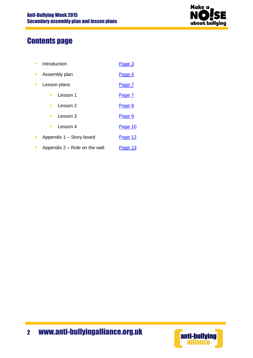

# Contents page

- Introduction [Page 3](#page-2-0)
- Assembly plan [Page 4](#page-3-0)
- Lesson plans **[Page 7](#page-6-0)** 
	- Lesson 1 [Page 7](#page-6-0)
	- Lesson 2 [Page 8](#page-7-0)
	- Lesson 3 [Page 9](#page-8-0)
	- Lesson 4 [Page 10](#page-9-0)
- Appendix  $1 -$  Story board Page  $12$
- Appendix  $2 -$  Role on the wall [Page 13](#page-12-0)

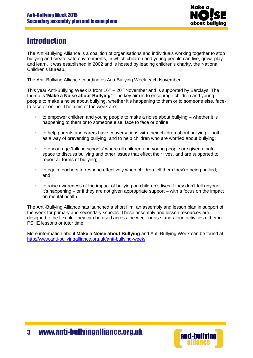

# <span id="page-2-0"></span>**Introduction**

The Anti-Bullying Alliance is a coalition of organisations and individuals working together to stop bullying and create safe environments, in which children and young people can live, grow, play and learn. It was established in 2002 and is hosted by leading children's charity, the [National](http://www.ncb.org.uk/)  [Children's Bureau.](http://www.ncb.org.uk/)

The Anti-Bullying Alliance coordinates Anti-Bullying Week each November.

This year Anti-Bullying Week is from  $16<sup>th</sup> - 20<sup>th</sup>$  November and is supported by Barclays. The theme is '**Make a Noise about Bullying'**. The key aim is to encourage children and young people to make a noise about bullying, whether it's happening to them or to someone else, faceto-face or online. The aims of the week are:

- to empower children and young people to make a noise about bullying whether it is happening to them or to someone else, face to face or online;
- to help parents and carers have conversations with their children about bullying both as a way of preventing bullying, and to help children who are worried about bullying;
- to encourage 'talking schools' where all children and young people are given a safe space to discuss bullying and other issues that effect their lives, and are supported to report all forms of bullying;
- to equip teachers to respond effectively when children tell them they're being bullied; and
- to raise awareness of the impact of bullying on children's lives if they don't tell anyone it's happening – or if they are not given appropriate support – with a focus on the impact on mental health.

The Anti-Bullying Alliance has launched a short film, an assembly and lesson plan in support of the week for primary and secondary schools. These assembly and lesson resources are designed to be flexible: they can be used across the week or as stand-alone activities either in PSHE lessons or tutor time.

More information about **Make a Noise about Bullying** and Anti-Bullying Week can be found at [http://www.anti-bullyingalliance.org.uk/anti-bullying-week/.](http://www.anti-bullyingalliance.org.uk/anti-bullying-week/)

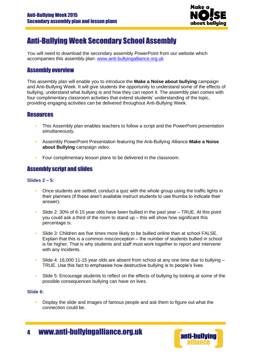

# <span id="page-3-0"></span>Anti-Bullying Week Secondary School Assembly

You will need to download the secondary assembly PowerPoint from our website which accompanies this assembly plan: [www.anti-bullyingalliance.org.uk](http://www.anti-bullyingalliance.org.uk/)

# Assembly overview

This assembly plan will enable you to introduce the **Make a Noise about bullying** campaign and Anti-Bullying Week. It will give students the opportunity to understand some of the effects of bullying, understand what bullying is and how they can report it. The assembly plan comes with four complimentary classroom activities that extend students' understanding of the topic, providing engaging activities can be delivered throughout Anti-Bullying Week.

# **Resources**

- This Assembly plan enables teachers to follow a script and the PowerPoint presentation simultaneously.
- Assembly PowerPoint Presentation featuring the Anti-Bullying Alliance **Make a Noise about Bullying** campaign video.
- Four complimentary lesson plans to be delivered in the classroom.

# Assembly script and slides

# **Slides 2 – 5:**

- Once students are settled, conduct a quiz with the whole group using the traffic lights in their planners (if these aren't available instruct students to use thumbs to indicate their answer).
- Slide 2: 30% of 6-15 year olds have been bullied in the past year TRUE. At this point you could ask a third of the room to stand up – this will show how significant this percentage is.
- Slide 3: Children are five times more likely to be bullied online than at school FALSE. Explain that this is a common misconception – the number of students bullied in school is far higher. That is why students and staff must work together to report and intervene with any incidents.
- Slide 4: 16,000 11-15 year olds are absent from school at any one time due to bullying TRUE. Use this fact to emphasise how destructive bullying is to people's lives.
- Slide 5: Encourage students to reflect on the effects of bullying by looking at some of the possible consequences bullying can have on lives.

## **Slide 6:**

**Display the slide and images of famous people and ask them to figure out what the** connection could be.



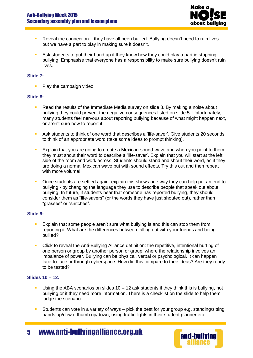

- **Reveal the connection they have all been bullied. Bullying doesn't need to ruin lives** but we have a part to play in making sure it doesn't.
- Ask students to put their hand up if they know how they could play a part in stopping bullying. Emphasise that everyone has a responsibility to make sure bullying doesn't ruin lives.

## **Slide 7:**

• Play the campaign video.

#### **Slide 8:**

- **Read the results of the Immediate Media survey on slide 8. By making a noise about** bullying they could prevent the negative consequences listed on slide 5. Unfortunately, many students feel nervous about reporting bullying because of what might happen next, or aren't sure how to report it.
- Ask students to think of one word that describes a 'life-saver'. Give students 20 seconds to think of an appropriate word (take some ideas to prompt thinking).
- **Explain that you are going to create a Mexican-sound-wave and when you point to them** they must shout their word to describe a 'life-saver'. Explain that you will start at the left side of the room and work across. Students should stand and shout their word, as if they are doing a normal Mexican wave but with sound effects. Try this out and then repeat with more volume!
- Once students are settled again, explain this shows one way they can help put an end to bullying - by changing the language they use to describe people that speak out about bullying. In future, if students hear that someone has reported bullying, they should consider them as "life-savers" (or the words they have just shouted out), rather than "grasses" or "snitches".

#### **Slide 9:**

- Explain that some people aren't sure what bullying is and this can stop them from reporting it. What are the differences between falling out with your friends and being bullied?
- Click to reveal the Anti-Bullying Alliance definition: the repetitive, intentional hurting of one person or group by another person or group, where the relationship involves an imbalance of power. Bullying can be physical, verbal or psychological. It can happen face-to-face or through cyberspace. How did this compare to their ideas? Are they ready to be tested?

#### **Slides 10 – 12:**

- Using the ABA scenarios on slides 10 12 ask students if they think this is bullying, not bullying or if they need more information. There is a checklist on the slide to help them judge the scenario.
- Students can vote in a variety of ways pick the best for your group e.g. standing/sitting, hands up/down, thumb up/down, using traffic lights in their student planner etc.

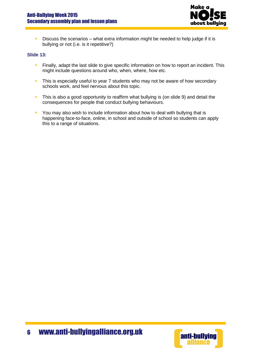

**Discuss the scenarios – what extra information might be needed to help judge if it is** bullying or not (i.e. is it repetitive?)

# **Slide 13:**

- **Finally, adapt the last slide to give specific information on how to report an incident. This** might include questions around who, when, where, how etc.
- This is especially useful to year 7 students who may not be aware of how secondary schools work, and feel nervous about this topic.
- This is also a good opportunity to reaffirm what bullying is (on slide 9) and detail the consequences for people that conduct bullying behaviours.
- You may also wish to include information about how to deal with bullying that is happening face-to-face, online, in school and outside of school so students can apply this to a range of situations.

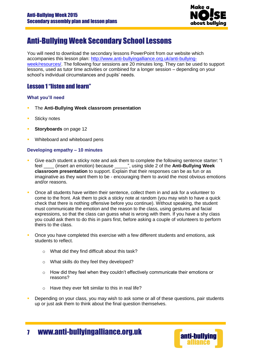

# <span id="page-6-0"></span>Anti-Bullying Week Secondary School Lessons

You will need to download the secondary lessons PowerPoint from our website which accompanies this lesson plan: [http://www.anti-bullyingalliance.org.uk/anti-bullying](http://www.anti-bullyingalliance.org.uk/anti-bullying-week/resources/)[week/resources/.](http://www.anti-bullyingalliance.org.uk/anti-bullying-week/resources/) The following four sessions are 20 minutes long. They can be used to support lessons, used as tutor time activities or combined for a longer session – depending on your school's individual circumstances and pupils' needs.

# Lesson 1 "listen and learn"

# **What you'll need**

- The **Anti-Bullying Week classroom presentation**
- **Sticky notes**
- **Storyboards** on page 12
- Whiteboard and whiteboard pens

# **Developing empathy – 10 minutes**

- Give each student a sticky note and ask them to complete the following sentence starter: "I feel \_\_\_\_ (insert an emotion) because \_\_\_\_\_", using slide 2 of the **Anti-Bullying Week classroom presentation** to support. Explain that their responses can be as fun or as imaginative as they want them to be - encouraging them to avoid the most obvious emotions and/or reasons.
- Once all students have written their sentence, collect them in and ask for a volunteer to come to the front. Ask them to pick a sticky note at random (you may wish to have a quick check that there is nothing offensive before you continue). Without speaking, the student must communicate the emotion and the reason to the class, using gestures and facial expressions, so that the class can guess what is wrong with them. If you have a shy class you could ask them to do this in pairs first, before asking a couple of volunteers to perform theirs to the class.
- Once you have completed this exercise with a few different students and emotions, ask students to reflect.
	- o What did they find difficult about this task?
	- o What skills do they feel they developed?
	- $\circ$  How did they feel when they couldn't effectively communicate their emotions or reasons?
	- o Have they ever felt similar to this in real life?
- Depending on your class, you may wish to ask some or all of these questions, pair students up or just ask them to think about the final question themselves.



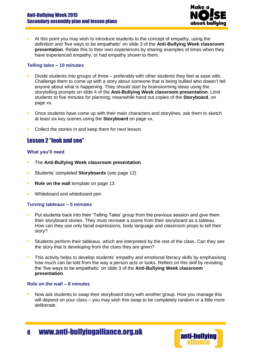

 At this point you may wish to introduce students to the concept of empathy, using the definition and 'five ways to be empathetic' on slide 3 of the **Anti-Bullying Week classroom presentation**. Relate this to their own experiences by sharing examples of times when they have experienced empathy, or had empathy shown to them.

# **Telling tales – 10 minutes**

- Divide students into groups of three preferably with other students they feel at ease with. Challenge them to come up with a story about someone that is being bullied who doesn't tell anyone about what is happening. They should start by brainstorming ideas using the storytelling prompts on slide 4 of the **Anti-Bullying Week classroom presentation**. Limit students to five minutes for planning; meanwhile hand out copies of the **Storyboard**, on page xx.
- Once students have come up with their main characters and storylines, ask them to sketch at least six key scenes using the **Storyboard** on page xx.
- Collect the stories in and keep them for next lesson.

# <span id="page-7-0"></span>Lesson 2 "look and see"

## **What you'll need**

- The **Anti-Bullying Week classroom presentation**
- Students' completed **Storyboards** (see page 12)
- **Role on the wall** template on page 13
- **Whiteboard and whiteboard pen**

## **Turning tableaux – 5 minutes**

- Put students back into their 'Telling Tales' group from the previous session and give them their storyboard stories. They must recreate a scene from their storyboard as a tableau. How can they use only facial expressions, body language and classroom props to tell their story?
- Students perform their tableaux, which are interpreted by the rest of the class. Can they see the story that is developing from the clues they are given?
- **This activity helps to develop students' empathy and emotional literacy skills by emphasising** how much can be told from the way a person acts or looks. Reflect on this skill by revisiting the 'five ways to be empathetic' on slide 3 of the **Anti-Bullying Week classroom presentation**.

#### **Role on the wall – 8 minutes**

 Now ask students to swap their storyboard story with another group. How you manage this will depend on your class – you may wish this swap to be completely random or a little more deliberate.

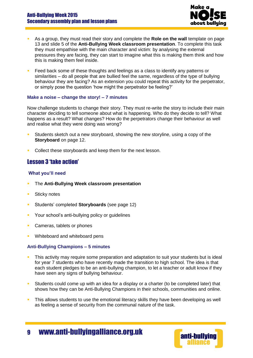

- As a group, they must read their story and complete the **Role on the wall** template on page 13 and slide 5 of the **Anti-Bullying Week classroom presentation**. To complete this task they must empathise with the main character and victim: by analysing the external pressures they are facing, they can start to imagine what this is making them think and how this is making them feel inside.
- Feed back some of these thoughts and feelings as a class to identify any patterns or similarities – do all people that are bullied feel the same, regardless of the type of bullying behaviour they are facing? As an extension you could repeat this activity for the perpetrator, or simply pose the question 'how might the perpetrator be feeling?'

## **Make a noise – change the story! – 7 minutes**

Now challenge students to change their story. They must re-write the story to include their main character deciding to tell someone about what is happening. Who do they decide to tell? What happens as a result? What changes? How do the perpetrators change their behaviour as well and realise what they were doing was wrong?

- Students sketch out a new storyboard, showing the new storyline, using a copy of the **Storyboard** on page 12.
- Collect these storyboards and keep them for the next lesson.

# <span id="page-8-0"></span>Lesson 3 'take action'

## **What you'll need**

- The **Anti-Bullying Week classroom presentation**
- **Sticky notes**
- Students' completed **Storyboards** (see page 12)
- **Your school's anti-bullying policy or guidelines**
- **Cameras, tablets or phones**
- Whiteboard and whiteboard pens

## **Anti-Bullying Champions – 5 minutes**

- This activity may require some preparation and adaptation to suit your students but is ideal for year 7 students who have recently made the transition to high school. The idea is that each student pledges to be an anti-bullying champion, to let a teacher or adult know if they have seen any signs of bullying behaviour.
- Students could come up with an idea for a display or a charter (to be completed later) that shows how they can be Anti-Bullying Champions in their schools, communities and online.
- This allows students to use the emotional literacy skills they have been developing as well as feeling a sense of security from the communal nature of the task.

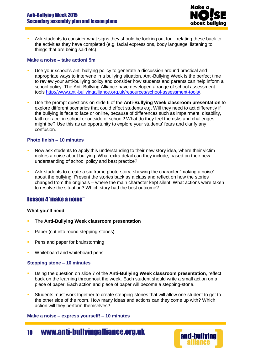

 Ask students to consider what signs they should be looking out for – relating these back to the activities they have completed (e.g. facial expressions, body language, listening to things that are being said etc).

#### **Make a noise – take action! 5m**

- Use your school's anti-bullying policy to generate a discussion around practical and appropriate ways to intervene in a bullying situation. Anti-Bullying Week is the perfect time to review your anti-bullying policy and consider how students and parents can help inform a school policy. The Anti-Bullying Alliance have developed a range of school assessment tools [http://www.anti-bullyingalliance.org.uk/resources/school-assessment-tools/.](http://www.anti-bullyingalliance.org.uk/resources/school-assessment-tools/)
- Use the prompt questions on slide 6 of the **Anti-Bullying Week classroom presentation** to explore different scenarios that could effect students e.g. Will they need to act differently if the bullying is face to face or online, because of differences such as impairment, disability, faith or race, in school or outside of school? What do they feel the risks and challenges might be? Use this as an opportunity to explore your students' fears and clarify any confusion.

## **Photo finish – 10 minutes**

- Now ask students to apply this understanding to their new story idea, where their victim makes a noise about bullying. What extra detail can they include, based on their new understanding of school policy and best practice?
- Ask students to create a six-frame photo-story, showing the character "making a noise" about the bullying. Present the stories back as a class and reflect on how the stories changed from the originals – where the main character kept silent. What actions were taken to resolve the situation? Which story had the best outcome?

# <span id="page-9-0"></span>Lesson 4 'make a noise"

## **What you'll need**

- The **Anti-Bullying Week classroom presentation**
- **Paper (cut into round stepping-stones)**
- **Pens and paper for brainstorming**
- **Whiteboard and whiteboard pens**

## **Stepping stone – 10 minutes**

- Using the question on slide 7 of the **Anti-Bullying Week classroom presentation**, reflect back on the learning throughout the week. Each student should write a small action on a piece of paper. Each action and piece of paper will become a stepping-stone.
- Students must work together to create stepping-stones that will allow one student to get to the other side of the room. How many ideas and actions can they come up with? Which action will they perform themselves?

#### **Make a noise – express yourself! – 10 minutes**

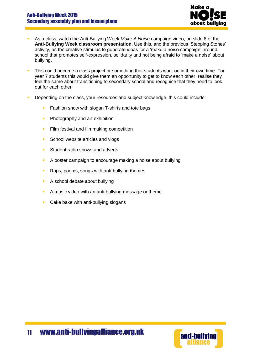

- As a class, watch the Anti-Bullying Week *Make A Noise* campaign video, on slide 8 of the **Anti-Bullying Week classroom presentation**. Use this, and the previous 'Stepping Stones' activity, as the creative stimulus to generate ideas for a 'make a noise campaign' around school that promotes self-expression, solidarity and not being afraid to 'make a noise' about bullying.
- This could become a class project or something that students work on in their own time. For year 7 students this would give them an opportunity to get to know each other, realise they feel the same about transitioning to secondary school and recognise that they need to look out for each other.
- Depending on the class, your resources and subject knowledge, this could include:
	- **Fashion show with slogan T-shirts and tote bags**
	- **Photography and art exhibition**
	- **Film festival and filmmaking competition**
	- School website articles and vlogs
	- Student radio shows and adverts
	- A poster campaign to encourage making a noise about bullying
	- Raps, poems, songs with anti-bullying themes
	- A school debate about bullying
	- A music video with an anti-bullying message or theme
	- Cake bake with anti-bullying slogans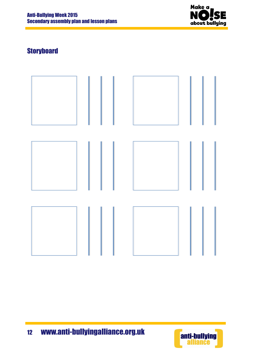

# <span id="page-11-0"></span>**Storyboard**